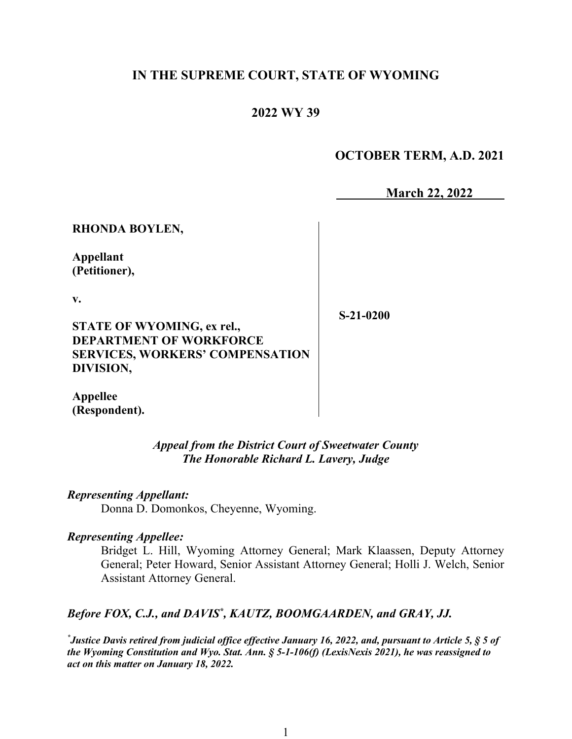# **IN THE SUPREME COURT, STATE OF WYOMING**

# **2022 WY 39**

## **OCTOBER TERM, A.D. 2021**

**March 22, 2022**

**RHONDA BOYLEN,**

**Appellant (Petitioner),**

**v.**

**S-21-0200**

**STATE OF WYOMING, ex rel., DEPARTMENT OF WORKFORCE SERVICES, WORKERS' COMPENSATION DIVISION,**

**Appellee (Respondent).**

### *Appeal from the District Court of Sweetwater County The Honorable Richard L. Lavery, Judge*

#### *Representing Appellant:*

Donna D. Domonkos, Cheyenne, Wyoming.

#### *Representing Appellee:*

Bridget L. Hill, Wyoming Attorney General; Mark Klaassen, Deputy Attorney General; Peter Howard, Senior Assistant Attorney General; Holli J. Welch, Senior Assistant Attorney General.

## Before FOX, C.J., and DAVIS<sup>\*</sup>, KAUTZ, BOOMGAARDEN, and GRAY, JJ.

*\* Justice Davis retired from judicial office effective January 16, 2022, and, pursuant to Article 5, § 5 of the Wyoming Constitution and Wyo. Stat. Ann. § 5-1-106(f) (LexisNexis 2021), he was reassigned to act on this matter on January 18, 2022.*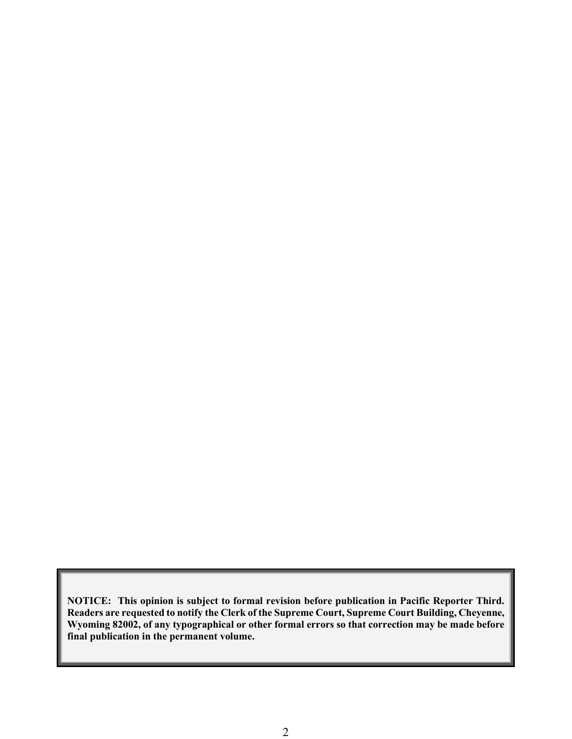**NOTICE: This opinion is subject to formal revision before publication in Pacific Reporter Third. Readers are requested to notify the Clerk of the Supreme Court, Supreme Court Building, Cheyenne, Wyoming 82002, of any typographical or other formal errors so that correction may be made before final publication in the permanent volume.**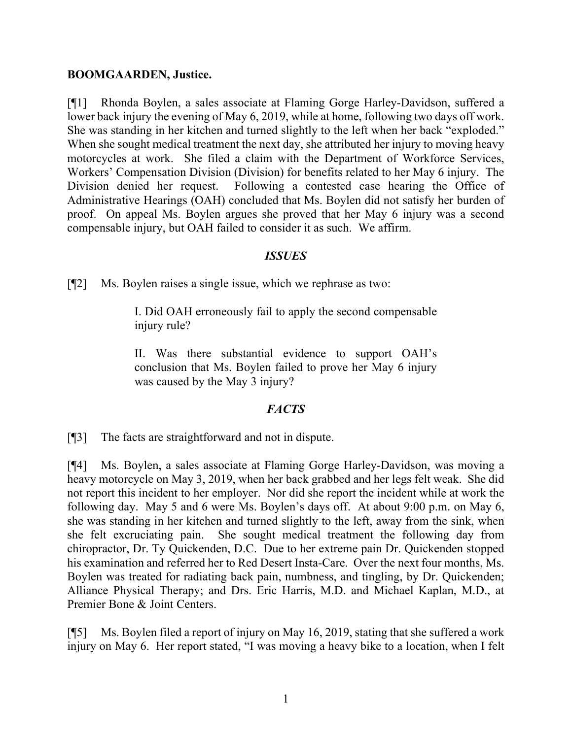#### **BOOMGAARDEN, Justice.**

[¶1] Rhonda Boylen, a sales associate at Flaming Gorge Harley-Davidson, suffered a lower back injury the evening of May 6, 2019, while at home, following two days off work. She was standing in her kitchen and turned slightly to the left when her back "exploded." When she sought medical treatment the next day, she attributed her injury to moving heavy motorcycles at work. She filed a claim with the Department of Workforce Services, Workers' Compensation Division (Division) for benefits related to her May 6 injury. The Division denied her request. Following a contested case hearing the Office of Administrative Hearings (OAH) concluded that Ms. Boylen did not satisfy her burden of proof. On appeal Ms. Boylen argues she proved that her May 6 injury was a second compensable injury, but OAH failed to consider it as such. We affirm.

### *ISSUES*

[¶2] Ms. Boylen raises a single issue, which we rephrase as two:

I. Did OAH erroneously fail to apply the second compensable injury rule?

II. Was there substantial evidence to support OAH's conclusion that Ms. Boylen failed to prove her May 6 injury was caused by the May 3 injury?

## *FACTS*

[¶3] The facts are straightforward and not in dispute.

[¶4] Ms. Boylen, a sales associate at Flaming Gorge Harley-Davidson, was moving a heavy motorcycle on May 3, 2019, when her back grabbed and her legs felt weak. She did not report this incident to her employer. Nor did she report the incident while at work the following day. May 5 and 6 were Ms. Boylen's days off. At about 9:00 p.m. on May 6, she was standing in her kitchen and turned slightly to the left, away from the sink, when she felt excruciating pain. She sought medical treatment the following day from chiropractor, Dr. Ty Quickenden, D.C. Due to her extreme pain Dr. Quickenden stopped his examination and referred her to Red Desert Insta-Care. Over the next four months, Ms. Boylen was treated for radiating back pain, numbness, and tingling, by Dr. Quickenden; Alliance Physical Therapy; and Drs. Eric Harris, M.D. and Michael Kaplan, M.D., at Premier Bone & Joint Centers.

[¶5] Ms. Boylen filed a report of injury on May 16, 2019, stating that she suffered a work injury on May 6. Her report stated, "I was moving a heavy bike to a location, when I felt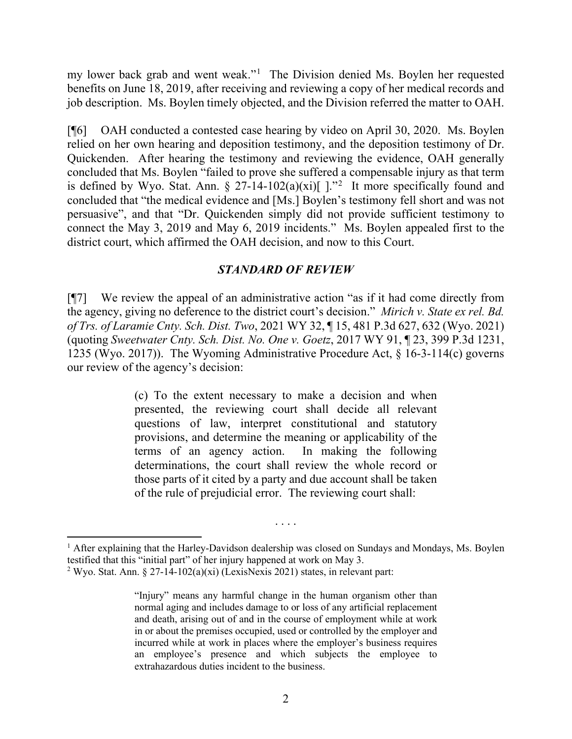my lower back grab and went weak."[1](#page-3-0) The Division denied Ms. Boylen her requested benefits on June 18, 2019, after receiving and reviewing a copy of her medical records and job description. Ms. Boylen timely objected, and the Division referred the matter to OAH.

[¶6] OAH conducted a contested case hearing by video on April 30, 2020. Ms. Boylen relied on her own hearing and deposition testimony, and the deposition testimony of Dr. Quickenden. After hearing the testimony and reviewing the evidence, OAH generally concluded that Ms. Boylen "failed to prove she suffered a compensable injury as that term is defined by Wyo. Stat. Ann. § [2](#page-3-1)7-14-102(a)(xi)[  $\cdot$ ."<sup>2</sup> It more specifically found and concluded that "the medical evidence and [Ms.] Boylen's testimony fell short and was not persuasive", and that "Dr. Quickenden simply did not provide sufficient testimony to connect the May 3, 2019 and May 6, 2019 incidents." Ms. Boylen appealed first to the district court, which affirmed the OAH decision, and now to this Court.

### *STANDARD OF REVIEW*

[¶7] We review the appeal of an administrative action "as if it had come directly from the agency, giving no deference to the district court's decision." *Mirich v. State ex rel. Bd. of Trs. of Laramie Cnty. Sch. Dist. Two*, 2021 WY 32, ¶ 15, 481 P.3d 627, 632 (Wyo. 2021) (quoting *Sweetwater Cnty. Sch. Dist. No. One v. Goetz*, 2017 WY 91, ¶ 23, 399 P.3d 1231, 1235 (Wyo. 2017)). The Wyoming Administrative Procedure Act, § 16-3-114(c) governs our review of the agency's decision:

> (c) To the extent necessary to make a decision and when presented, the reviewing court shall decide all relevant questions of law, interpret constitutional and statutory provisions, and determine the meaning or applicability of the terms of an agency action. In making the following determinations, the court shall review the whole record or those parts of it cited by a party and due account shall be taken of the rule of prejudicial error. The reviewing court shall:

. . . .

<span id="page-3-0"></span><sup>&</sup>lt;sup>1</sup> After explaining that the Harley-Davidson dealership was closed on Sundays and Mondays, Ms. Boylen testified that this "initial part" of her injury happened at work on May 3.

<span id="page-3-1"></span><sup>&</sup>lt;sup>2</sup> Wyo. Stat. Ann. § 27-14-102(a)(xi) (LexisNexis 2021) states, in relevant part:

<sup>&</sup>quot;Injury" means any harmful change in the human organism other than normal aging and includes damage to or loss of any artificial replacement and death, arising out of and in the course of employment while at work in or about the premises occupied, used or controlled by the employer and incurred while at work in places where the employer's business requires an employee's presence and which subjects the employee to extrahazardous duties incident to the business.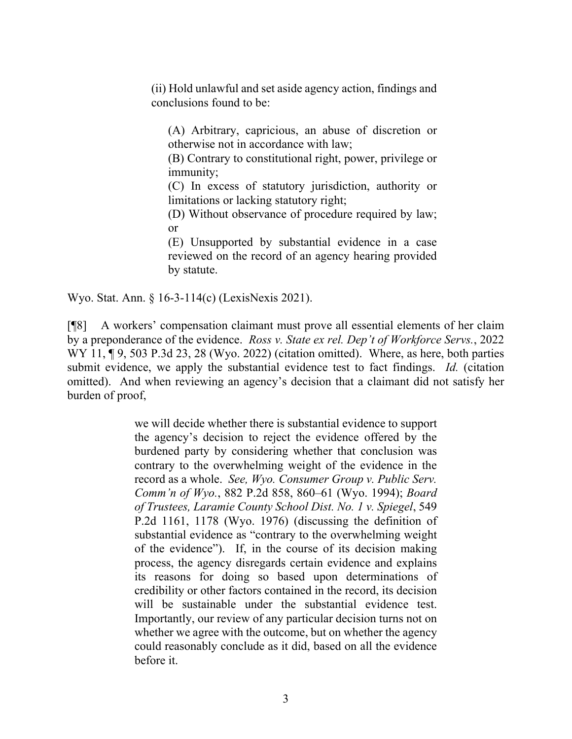(ii) Hold unlawful and set aside agency action, findings and conclusions found to be:

(A) Arbitrary, capricious, an abuse of discretion or otherwise not in accordance with law;

(B) Contrary to constitutional right, power, privilege or immunity;

(C) In excess of statutory jurisdiction, authority or limitations or lacking statutory right;

(D) Without observance of procedure required by law; or

(E) Unsupported by substantial evidence in a case reviewed on the record of an agency hearing provided by statute.

Wyo. Stat. Ann. § 16-3-114(c) (LexisNexis 2021).

[¶8] A workers' compensation claimant must prove all essential elements of her claim by a preponderance of the evidence. *Ross v. State ex rel. Dep't of Workforce Servs.*, 2022 WY 11,  $\P$  9, 503 P.3d 23, 28 (Wyo. 2022) (citation omitted). Where, as here, both parties submit evidence, we apply the substantial evidence test to fact findings. *Id.* (citation omitted). And when reviewing an agency's decision that a claimant did not satisfy her burden of proof,

> we will decide whether there is substantial evidence to support the agency's decision to reject the evidence offered by the burdened party by considering whether that conclusion was contrary to the overwhelming weight of the evidence in the record as a whole. *See, Wyo. Consumer Group v. Public Serv. Comm'n of Wyo.*, 882 P.2d 858, 860–61 (Wyo. 1994); *Board of Trustees, Laramie County School Dist. No. 1 v. Spiegel*, 549 P.2d 1161, 1178 (Wyo. 1976) (discussing the definition of substantial evidence as "contrary to the overwhelming weight of the evidence"). If, in the course of its decision making process, the agency disregards certain evidence and explains its reasons for doing so based upon determinations of credibility or other factors contained in the record, its decision will be sustainable under the substantial evidence test. Importantly, our review of any particular decision turns not on whether we agree with the outcome, but on whether the agency could reasonably conclude as it did, based on all the evidence before it.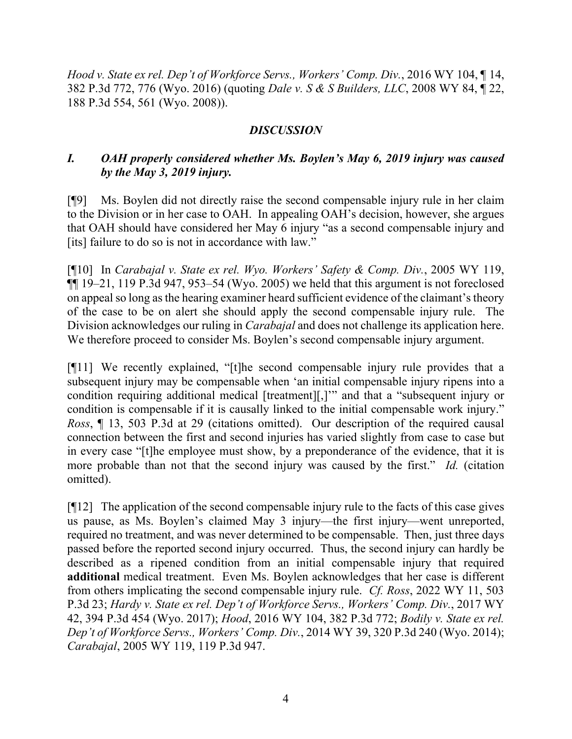*Hood v. State ex rel. Dep't of Workforce Servs., Workers' Comp. Div.*, 2016 WY 104, ¶ 14, 382 P.3d 772, 776 (Wyo. 2016) (quoting *Dale v. S & S Builders, LLC*, 2008 WY 84, ¶ 22, 188 P.3d 554, 561 (Wyo. 2008)).

## *DISCUSSION*

# *I. OAH properly considered whether Ms. Boylen's May 6, 2019 injury was caused by the May 3, 2019 injury.*

[¶9] Ms. Boylen did not directly raise the second compensable injury rule in her claim to the Division or in her case to OAH. In appealing OAH's decision, however, she argues that OAH should have considered her May 6 injury "as a second compensable injury and [its] failure to do so is not in accordance with law."

[¶10] In *Carabajal v. State ex rel. Wyo. Workers' Safety & Comp. Div.*, 2005 WY 119,  $\P$ [ $\parallel$  19–21, 119 P.3d 947, 953–54 (Wyo. 2005) we held that this argument is not foreclosed on appeal so long as the hearing examiner heard sufficient evidence of the claimant's theory of the case to be on alert she should apply the second compensable injury rule. The Division acknowledges our ruling in *Carabajal* and does not challenge its application here. We therefore proceed to consider Ms. Boylen's second compensable injury argument.

[¶11] We recently explained, "[t]he second compensable injury rule provides that a subsequent injury may be compensable when 'an initial compensable injury ripens into a condition requiring additional medical [treatment][,]'" and that a "subsequent injury or condition is compensable if it is causally linked to the initial compensable work injury." *Ross*, ¶ 13, 503 P.3d at 29 (citations omitted). Our description of the required causal connection between the first and second injuries has varied slightly from case to case but in every case "[t]he employee must show, by a preponderance of the evidence, that it is more probable than not that the second injury was caused by the first." *Id.* (citation omitted).

[¶12] The application of the second compensable injury rule to the facts of this case gives us pause, as Ms. Boylen's claimed May 3 injury—the first injury—went unreported, required no treatment, and was never determined to be compensable. Then, just three days passed before the reported second injury occurred. Thus, the second injury can hardly be described as a ripened condition from an initial compensable injury that required **additional** medical treatment. Even Ms. Boylen acknowledges that her case is different from others implicating the second compensable injury rule. *Cf. Ross*, 2022 WY 11, 503 P.3d 23; *Hardy v. State ex rel. Dep't of Workforce Servs., Workers' Comp. Div.*, 2017 WY 42, 394 P.3d 454 (Wyo. 2017); *Hood*, 2016 WY 104, 382 P.3d 772; *Bodily v. State ex rel. Dep't of Workforce Servs., Workers' Comp. Div.*, 2014 WY 39, 320 P.3d 240 (Wyo. 2014); *Carabajal*, 2005 WY 119, 119 P.3d 947.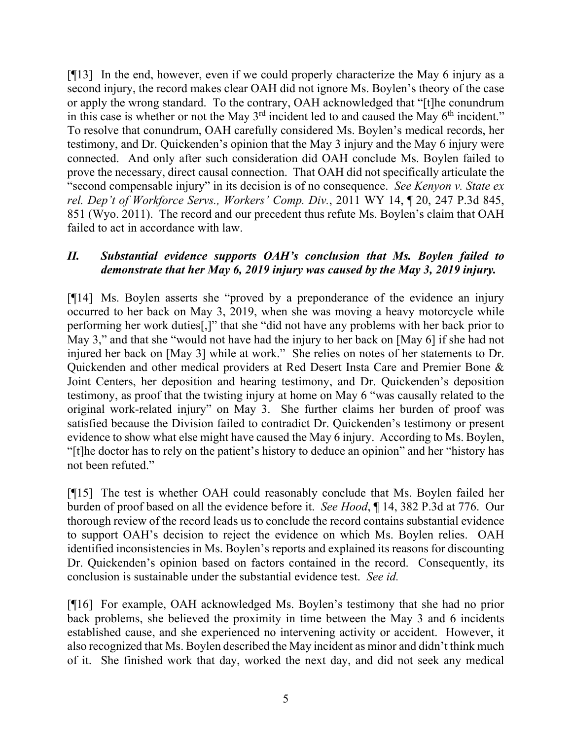[¶13] In the end, however, even if we could properly characterize the May 6 injury as a second injury, the record makes clear OAH did not ignore Ms. Boylen's theory of the case or apply the wrong standard. To the contrary, OAH acknowledged that "[t]he conundrum in this case is whether or not the May  $3<sup>rd</sup>$  incident led to and caused the May  $6<sup>th</sup>$  incident." To resolve that conundrum, OAH carefully considered Ms. Boylen's medical records, her testimony, and Dr. Quickenden's opinion that the May 3 injury and the May 6 injury were connected. And only after such consideration did OAH conclude Ms. Boylen failed to prove the necessary, direct causal connection. That OAH did not specifically articulate the "second compensable injury" in its decision is of no consequence. *See Kenyon v. State ex rel. Dep't of Workforce Servs., Workers' Comp. Div.*, 2011 WY 14, ¶ 20, 247 P.3d 845, 851 (Wyo. 2011). The record and our precedent thus refute Ms. Boylen's claim that OAH failed to act in accordance with law.

## *II. Substantial evidence supports OAH's conclusion that Ms. Boylen failed to demonstrate that her May 6, 2019 injury was caused by the May 3, 2019 injury.*

[¶14] Ms. Boylen asserts she "proved by a preponderance of the evidence an injury occurred to her back on May 3, 2019, when she was moving a heavy motorcycle while performing her work duties[,]" that she "did not have any problems with her back prior to May 3," and that she "would not have had the injury to her back on [May 6] if she had not injured her back on [May 3] while at work." She relies on notes of her statements to Dr. Quickenden and other medical providers at Red Desert Insta Care and Premier Bone & Joint Centers, her deposition and hearing testimony, and Dr. Quickenden's deposition testimony, as proof that the twisting injury at home on May 6 "was causally related to the original work-related injury" on May 3. She further claims her burden of proof was satisfied because the Division failed to contradict Dr. Quickenden's testimony or present evidence to show what else might have caused the May 6 injury. According to Ms. Boylen, "[t]he doctor has to rely on the patient's history to deduce an opinion" and her "history has not been refuted."

[¶15] The test is whether OAH could reasonably conclude that Ms. Boylen failed her burden of proof based on all the evidence before it. *See Hood*, ¶ 14, 382 P.3d at 776. Our thorough review of the record leads us to conclude the record contains substantial evidence to support OAH's decision to reject the evidence on which Ms. Boylen relies. OAH identified inconsistencies in Ms. Boylen's reports and explained its reasons for discounting Dr. Quickenden's opinion based on factors contained in the record. Consequently, its conclusion is sustainable under the substantial evidence test. *See id.*

[¶16] For example, OAH acknowledged Ms. Boylen's testimony that she had no prior back problems, she believed the proximity in time between the May 3 and 6 incidents established cause, and she experienced no intervening activity or accident. However, it also recognized that Ms. Boylen described the May incident as minor and didn't think much of it. She finished work that day, worked the next day, and did not seek any medical